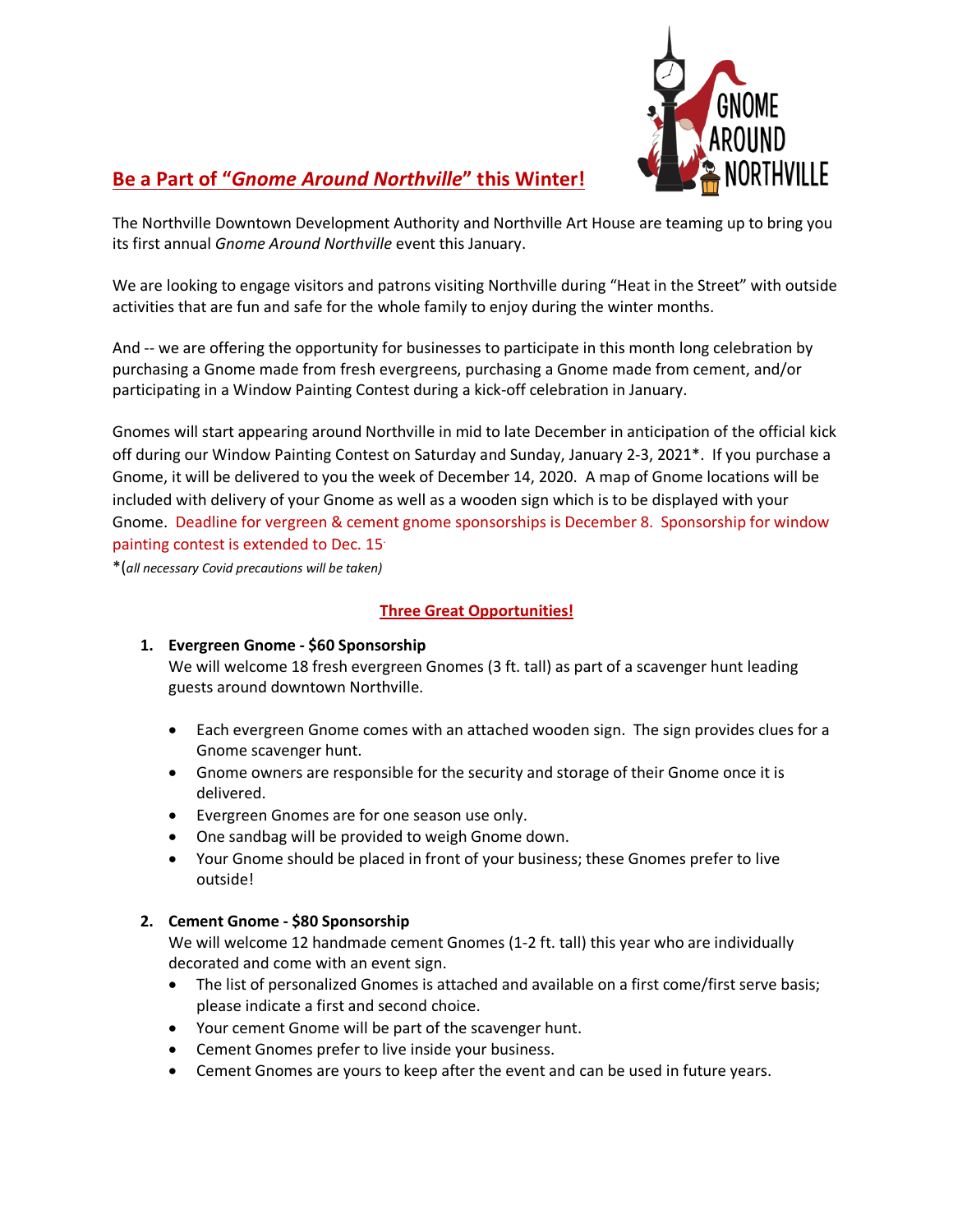

# **Be a Part of "***Gnome Around Northville***" this Winter!**

The Northville Downtown Development Authority and Northville Art House are teaming up to bring you its first annual *Gnome Around Northville* event this January.

We are looking to engage visitors and patrons visiting Northville during "Heat in the Street" with outside activities that are fun and safe for the whole family to enjoy during the winter months.

And -- we are offering the opportunity for businesses to participate in this month long celebration by purchasing a Gnome made from fresh evergreens, purchasing a Gnome made from cement, and/or participating in a Window Painting Contest during a kick-off celebration in January.

Gnomes will start appearing around Northville in mid to late December in anticipation of the official kick off during our Window Painting Contest on Saturday and Sunday, January 2-3, 2021\*. If you purchase a Gnome, it will be delivered to you the week of December 14, 2020. A map of Gnome locations will be included with delivery of your Gnome as well as a wooden sign which is to be displayed with your Gnome. Deadline for vergreen & cement gnome sponsorships is December 8. Sponsorship for window painting contest is extended to Dec. 15.

\*(*all necessary Covid precautions will be taken)*

### **Three Great Opportunities!**

#### **1. Evergreen Gnome - \$60 Sponsorship**

We will welcome 18 fresh evergreen Gnomes (3 ft. tall) as part of a scavenger hunt leading guests around downtown Northville.

- Each evergreen Gnome comes with an attached wooden sign. The sign provides clues for a Gnome scavenger hunt.
- Gnome owners are responsible for the security and storage of their Gnome once it is delivered.
- Evergreen Gnomes are for one season use only.
- One sandbag will be provided to weigh Gnome down.
- Your Gnome should be placed in front of your business; these Gnomes prefer to live outside!

## **2. Cement Gnome - \$80 Sponsorship**

We will welcome 12 handmade cement Gnomes (1-2 ft. tall) this year who are individually decorated and come with an event sign.

- The list of personalized Gnomes is attached and available on a first come/first serve basis; please indicate a first and second choice.
- Your cement Gnome will be part of the scavenger hunt.
- Cement Gnomes prefer to live inside your business.
- Cement Gnomes are yours to keep after the event and can be used in future years.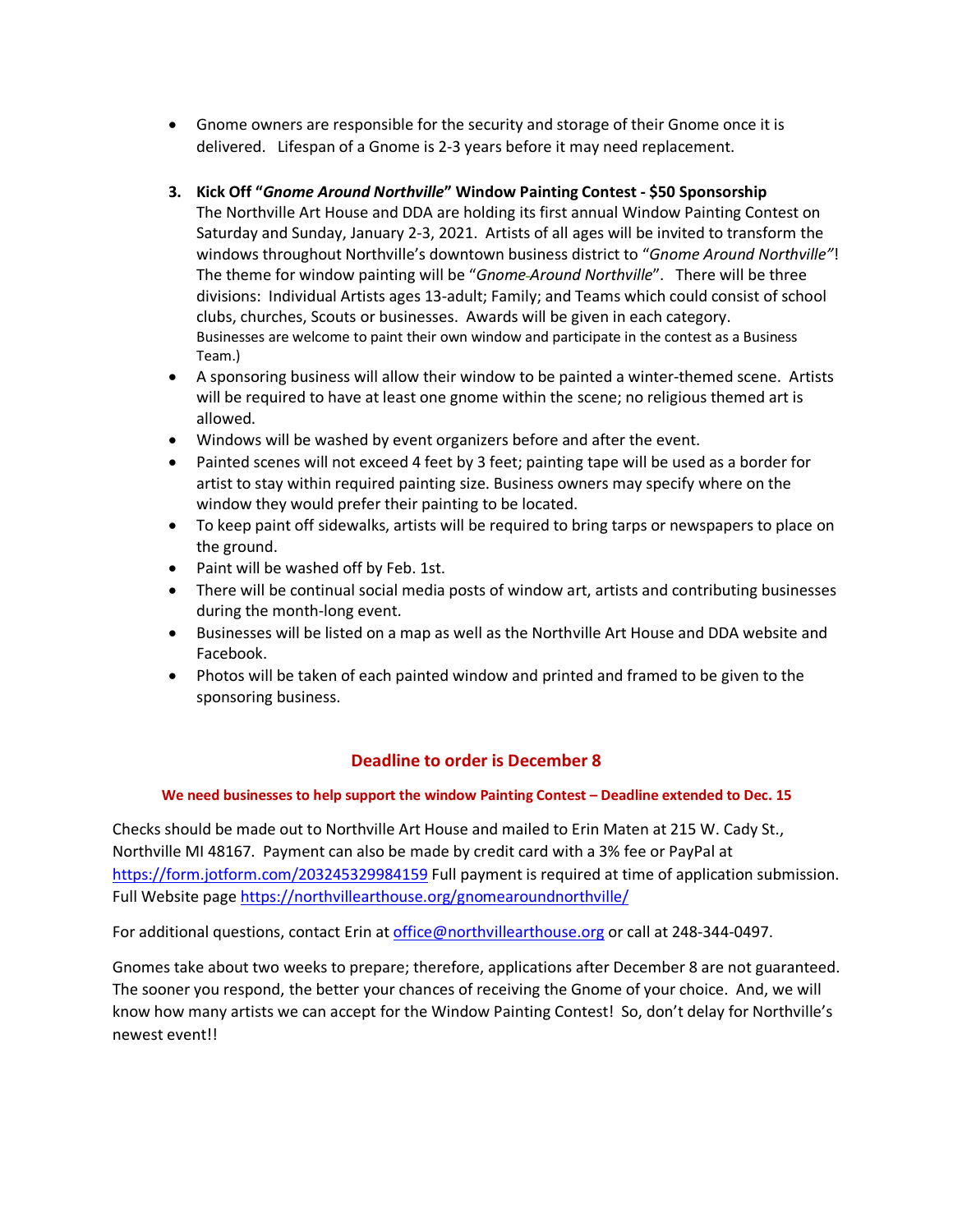• Gnome owners are responsible for the security and storage of their Gnome once it is delivered. Lifespan of a Gnome is 2-3 years before it may need replacement.

## **3. Kick Off "***Gnome Around Northville***" Window Painting Contest - \$50 Sponsorship**

- The Northville Art House and DDA are holding its first annual Window Painting Contest on Saturday and Sunday, January 2-3, 2021. Artists of all ages will be invited to transform the windows throughout Northville's downtown business district to "*Gnome Around Northville"*! The theme for window painting will be "*Gnome Around Northville*". There will be three divisions: Individual Artists ages 13-adult; Family; and Teams which could consist of school clubs, churches, Scouts or businesses. Awards will be given in each category. Businesses are welcome to paint their own window and participate in the contest as a Business Team.)
- A sponsoring business will allow their window to be painted a winter-themed scene. Artists will be required to have at least one gnome within the scene; no religious themed art is allowed.
- Windows will be washed by event organizers before and after the event.
- Painted scenes will not exceed 4 feet by 3 feet; painting tape will be used as a border for artist to stay within required painting size. Business owners may specify where on the window they would prefer their painting to be located.
- To keep paint off sidewalks, artists will be required to bring tarps or newspapers to place on the ground.
- Paint will be washed off by Feb. 1st.
- There will be continual social media posts of window art, artists and contributing businesses during the month-long event.
- Businesses will be listed on a map as well as the Northville Art House and DDA website and Facebook.
- Photos will be taken of each painted window and printed and framed to be given to the sponsoring business.

## **Deadline to order is December 8**

#### **We need businesses to help support the window Painting Contest – Deadline extended to Dec. 15**

Checks should be made out to Northville Art House and mailed to Erin Maten at 215 W. Cady St., Northville MI 48167. Payment can also be made by credit card with a 3% fee or PayPal at https://form.jotform.com/203245329984159 Full payment is required at time of application submission. Full Website page https://northvillearthouse.org/gnomearoundnorthville/

For additional questions, contact Erin at office@northvillearthouse.org or call at 248-344-0497.

Gnomes take about two weeks to prepare; therefore, applications after December 8 are not guaranteed. The sooner you respond, the better your chances of receiving the Gnome of your choice. And, we will know how many artists we can accept for the Window Painting Contest! So, don't delay for Northville's newest event!!